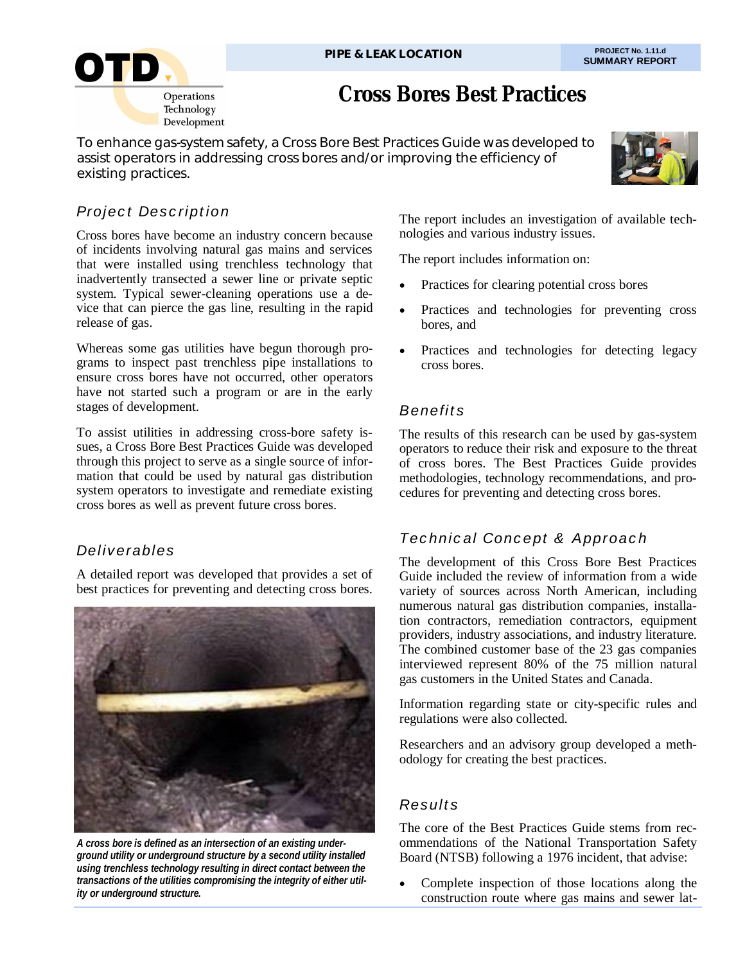

# **Cross Bores Best Practices**

To enhance gas-system safety, a Cross Bore Best Practices Guide was developed to assist operators in addressing cross bores and/or improving the efficiency of existing practices.



## *Project Description*

Cross bores have become an industry concern because of incidents involving natural gas mains and services that were installed using trenchless technology that inadvertently transected a sewer line or private septic system. Typical sewer-cleaning operations use a device that can pierce the gas line, resulting in the rapid release of gas.

Whereas some gas utilities have begun thorough programs to inspect past trenchless pipe installations to ensure cross bores have not occurred, other operators have not started such a program or are in the early stages of development.

To assist utilities in addressing cross-bore safety issues, a Cross Bore Best Practices Guide was developed through this project to serve as a single source of information that could be used by natural gas distribution system operators to investigate and remediate existing cross bores as well as prevent future cross bores.

## *Deliverables*

A detailed report was developed that provides a set of best practices for preventing and detecting cross bores.



*A cross bore is defined as an intersection of an existing underground utility or underground structure by a second utility installed using trenchless technology resulting in direct contact between the transactions of the utilities compromising the integrity of either utility or underground structure.* 

The report includes an investigation of available technologies and various industry issues.

The report includes information on:

- Practices for clearing potential cross bores
- Practices and technologies for preventing cross bores, and
- Practices and technologies for detecting legacy cross bores.

## *Benefits*

The results of this research can be used by gas-system operators to reduce their risk and exposure to the threat of cross bores. The Best Practices Guide provides methodologies, technology recommendations, and procedures for preventing and detecting cross bores.

# *Technical Concept & Approach*

The development of this Cross Bore Best Practices Guide included the review of information from a wide variety of sources across North American, including numerous natural gas distribution companies, installation contractors, remediation contractors, equipment providers, industry associations, and industry literature. The combined customer base of the 23 gas companies interviewed represent 80% of the 75 million natural gas customers in the United States and Canada.

Information regarding state or city-specific rules and regulations were also collected.

Researchers and an advisory group developed a methodology for creating the best practices.

### *Results*

The core of the Best Practices Guide stems from recommendations of the National Transportation Safety Board (NTSB) following a 1976 incident, that advise:

 Complete inspection of those locations along the construction route where gas mains and sewer lat-